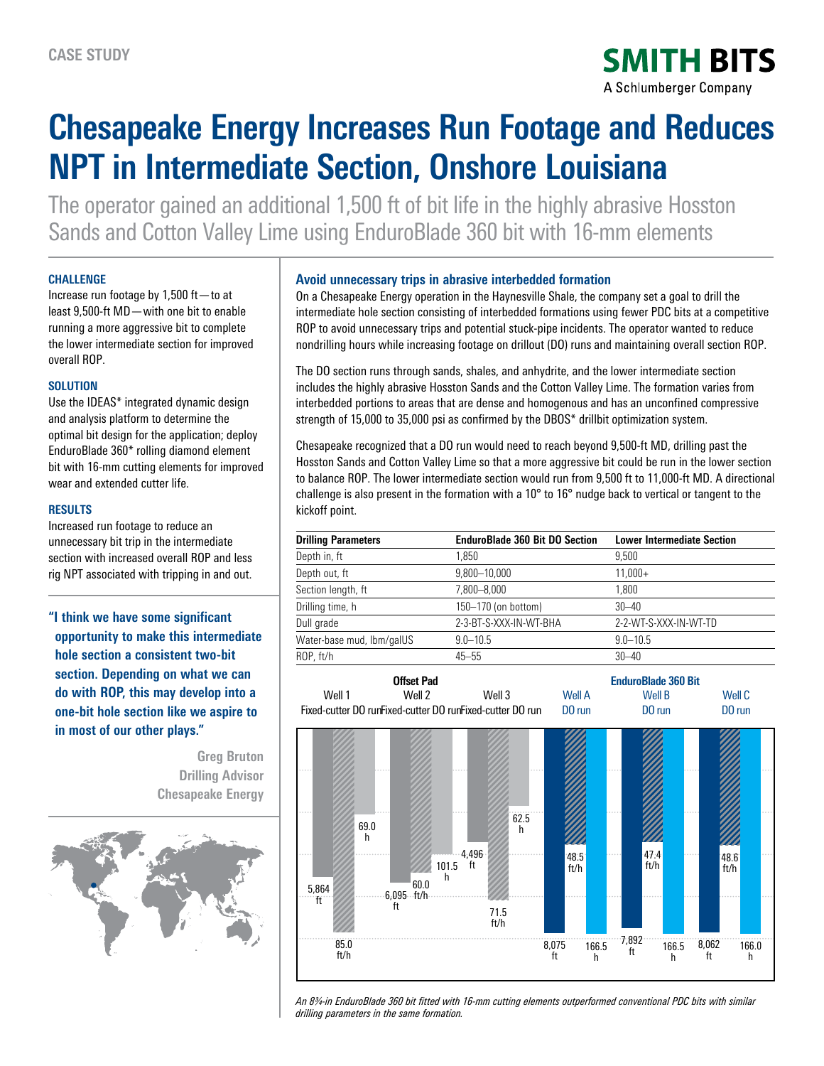**SMITH BITS** A Schlumberger Company

# **Chesapeake Energy Increases Run Footage and Reduces NPT in Intermediate Section, Onshore Louisiana**

The operator gained an additional 1,500 ft of bit life in the highly abrasive Hosston Sands and Cotton Valley Lime using EnduroBlade 360 bit with 16-mm elements

### **CHALLENGE**

Increase run footage by 1,500 ft—to at least 9,500-ft MD—with one bit to enable running a more aggressive bit to complete the lower intermediate section for improved overall ROP.

# **SOLUTION**

Use the IDEAS\* integrated dynamic design and analysis platform to determine the optimal bit design for the application; deploy EnduroBlade 360\* rolling diamond element bit with 16-mm cutting elements for improved wear and extended cutter life.

## **RESULTS**

Increased run footage to reduce an unnecessary bit trip in the intermediate section with increased overall ROP and less rig NPT associated with tripping in and out.

**"I think we have some significant opportunity to make this intermediate hole section a consistent two-bit section. Depending on what we can do with ROP, this may develop into a one-bit hole section like we aspire to in most of our other plays."**

> **Greg Bruton Drilling Advisor Chesapeake Energy**



# **Avoid unnecessary trips in abrasive interbedded formation**

On a Chesapeake Energy operation in the Haynesville Shale, the company set a goal to drill the intermediate hole section consisting of interbedded formations using fewer PDC bits at a competitive ROP to avoid unnecessary trips and potential stuck-pipe incidents. The operator wanted to reduce nondrilling hours while increasing footage on drillout (DO) runs and maintaining overall section ROP.

The DO section runs through sands, shales, and anhydrite, and the lower intermediate section includes the highly abrasive Hosston Sands and the Cotton Valley Lime. The formation varies from interbedded portions to areas that are dense and homogenous and has an unconfined compressive strength of 15,000 to 35,000 psi as confirmed by the DBOS\* drillbit optimization system.

Chesapeake recognized that a DO run would need to reach beyond 9,500-ft MD, drilling past the Hosston Sands and Cotton Valley Lime so that a more aggressive bit could be run in the lower section to balance ROP. The lower intermediate section would run from 9,500 ft to 11,000-ft MD. A directional challenge is also present in the formation with a  $10^{\circ}$  to  $16^{\circ}$  nudge back to vertical or tangent to the kickoff point.

| <b>Drilling Parameters</b> | <b>EnduroBlade 360 Bit DO Section</b> | <b>Lower Intermediate Section</b> |
|----------------------------|---------------------------------------|-----------------------------------|
| Depth in, ft               | 1.850                                 | 9.500                             |
| Depth out, ft              | 9,800-10,000                          | $11,000+$                         |
| Section length, ft         | 7,800-8,000                           | 1.800                             |
| Drilling time, h           | 150-170 (on bottom)                   | $30 - 40$                         |
| Dull grade                 | 2-3-BT-S-XXX-IN-WT-BHA                | 2-2-WT-S-XXX-IN-WT-TD             |
| Water-base mud, lbm/galUS  | $9.0 - 10.5$                          | $9.0 - 10.5$                      |
| ROP, ft/h                  | $45 - 55$                             | $30 - 40$                         |
|                            |                                       |                                   |



*An 83/4-in EnduroBlade 360 bit fitted with 16-mm cutting elements outperformed conventional PDC bits with similar drilling parameters in the same formation.*